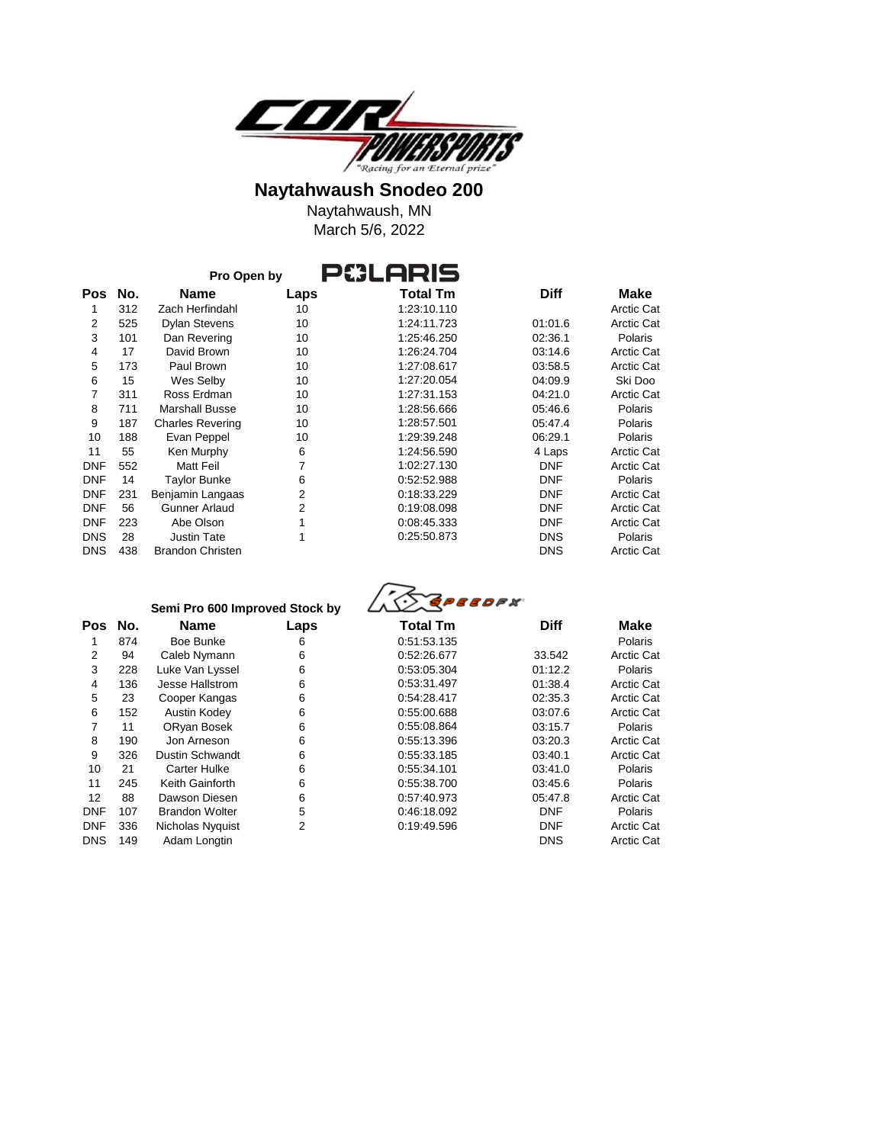

March 5/6, 2022 Naytahwaush, MN

|            |     | Pro Open by             |      |             |             |                   |
|------------|-----|-------------------------|------|-------------|-------------|-------------------|
| Pos        | No. | Name                    | Laps | Total Tm    | <b>Diff</b> | <b>Make</b>       |
|            | 312 | Zach Herfindahl         | 10   | 1:23:10.110 |             | <b>Arctic Cat</b> |
| 2          | 525 | <b>Dylan Stevens</b>    | 10   | 1:24:11.723 | 01:01.6     | <b>Arctic Cat</b> |
| 3          | 101 | Dan Revering            | 10   | 1:25:46.250 | 02:36.1     | <b>Polaris</b>    |
| 4          | 17  | David Brown             | 10   | 1:26:24.704 | 03:14.6     | <b>Arctic Cat</b> |
| 5          | 173 | Paul Brown              | 10   | 1:27:08.617 | 03:58.5     | <b>Arctic Cat</b> |
| 6          | 15  | Wes Selby               | 10   | 1:27:20.054 | 04:09.9     | Ski Doo           |
| 7          | 311 | Ross Erdman             | 10   | 1:27:31.153 | 04:21.0     | <b>Arctic Cat</b> |
| 8          | 711 | <b>Marshall Busse</b>   | 10   | 1:28:56.666 | 05:46.6     | Polaris           |
| 9          | 187 | <b>Charles Revering</b> | 10   | 1:28:57.501 | 05:47.4     | Polaris           |
| 10         | 188 | Evan Peppel             | 10   | 1:29:39.248 | 06:29.1     | <b>Polaris</b>    |
| 11         | 55  | Ken Murphy              | 6    | 1:24:56.590 | 4 Laps      | <b>Arctic Cat</b> |
| <b>DNF</b> | 552 | Matt Feil               | 7    | 1:02:27.130 | <b>DNF</b>  | <b>Arctic Cat</b> |
| <b>DNF</b> | 14  | <b>Taylor Bunke</b>     | 6    | 0:52:52.988 | <b>DNF</b>  | Polaris           |
| <b>DNF</b> | 231 | Benjamin Langaas        | 2    | 0:18:33.229 | <b>DNF</b>  | <b>Arctic Cat</b> |
| <b>DNF</b> | 56  | Gunner Arlaud           | 2    | 0:19:08.098 | <b>DNF</b>  | <b>Arctic Cat</b> |
| <b>DNF</b> | 223 | Abe Olson               |      | 0:08:45.333 | <b>DNF</b>  | <b>Arctic Cat</b> |
| <b>DNS</b> | 28  | <b>Justin Tate</b>      | 1    | 0:25:50.873 | <b>DNS</b>  | <b>Polaris</b>    |
| <b>DNS</b> | 438 | <b>Brandon Christen</b> |      |             | <b>DNS</b>  | <b>Arctic Cat</b> |

|             | Semi Pro 600 Improved Stock by |
|-------------|--------------------------------|
| <b>Name</b> | Laps                           |

| 1              | 874 | Boe Bunke             | 6 |
|----------------|-----|-----------------------|---|
| 2              | 94  | Caleb Nymann          | 6 |
| 3              | 228 | Luke Van Lyssel       | 6 |
| 4              | 136 | Jesse Hallstrom       | 6 |
| 5              | 23  | Cooper Kangas         | 6 |
| 6              | 152 | Austin Kodey          | 6 |
| $\overline{7}$ | 11  | ORyan Bosek           | 6 |
| 8              | 190 | Jon Arneson           | 6 |
| 9              | 326 | Dustin Schwandt       | 6 |
| 10             | 21  | Carter Hulke          | 6 |
| 11             | 245 | Keith Gainforth       | 6 |
| 12             | 88  | Dawson Diesen         | 6 |
| DNF            | 107 | <b>Brandon Wolter</b> | 5 |
| DNF            | 336 | Nicholas Nyquist      | 2 |
| DNS            | 149 | Adam Longtin          |   |

| <b>ASSPEEDEX</b> |
|------------------|
|------------------|

| Pos | No. | <b>Name</b>            | Laps | Total Tm    | <b>Diff</b> | <b>Make</b>    |
|-----|-----|------------------------|------|-------------|-------------|----------------|
|     | 874 | Boe Bunke              | 6    | 0:51:53.135 |             | Polaris        |
| 2   | 94  | Caleb Nymann           | 6    | 0:52:26.677 | 33.542      | Arctic Cat     |
| 3   | 228 | Luke Van Lyssel        | 6    | 0:53:05.304 | 01:12.2     | <b>Polaris</b> |
| 4   | 136 | Jesse Hallstrom        | 6    | 0:53:31.497 | 01:38.4     | Arctic Cat     |
| 5   | 23  | Cooper Kangas          | 6    | 0:54:28.417 | 02:35.3     | Arctic Cat     |
| 6   | 152 | Austin Kodey           | 6    | 0:55:00.688 | 03:07.6     | Arctic Cat     |
|     | 11  | ORyan Bosek            | 6    | 0:55:08.864 | 03:15.7     | <b>Polaris</b> |
| 8   | 190 | Jon Arneson            | 6    | 0:55:13.396 | 03:20.3     | Arctic Cat     |
| 9   | 326 | <b>Dustin Schwandt</b> | 6    | 0:55:33.185 | 03:40.1     | Arctic Cat     |
| 10  | 21  | <b>Carter Hulke</b>    | 6    | 0:55:34.101 | 03:41.0     | Polaris        |
| 11  | 245 | Keith Gainforth        | 6    | 0:55:38.700 | 03:45.6     | Polaris        |
| 12  | 88  | Dawson Diesen          | 6    | 0:57:40.973 | 05:47.8     | Arctic Cat     |
| DNF | 107 | <b>Brandon Wolter</b>  | 5    | 0:46:18.092 | <b>DNF</b>  | <b>Polaris</b> |
| DNF | 336 | Nicholas Nyquist       | 2    | 0:19:49.596 | <b>DNF</b>  | Arctic Cat     |
| DNS | 149 | Adam Longtin           |      |             | <b>DNS</b>  | Arctic Cat     |
|     |     |                        |      |             |             |                |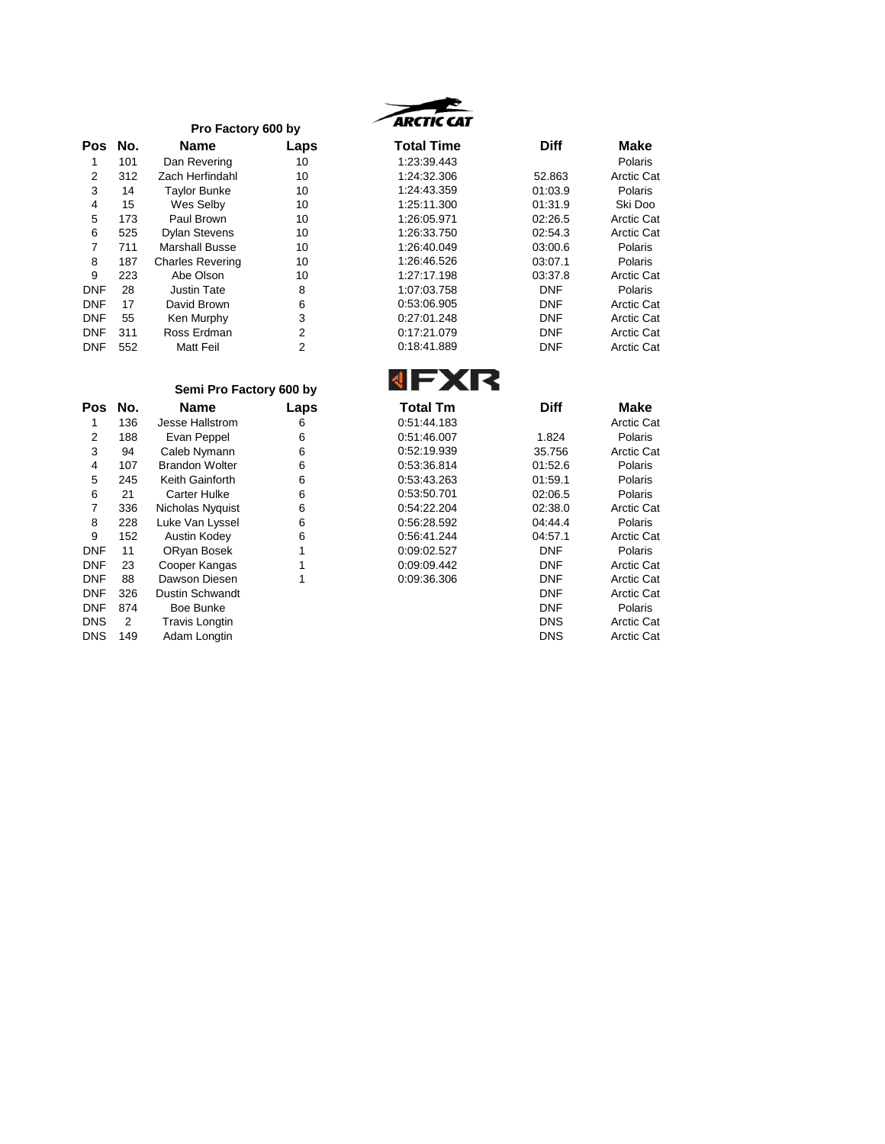|     |     | Pro Factory 600 by      |      |
|-----|-----|-------------------------|------|
| Pos | No. | Name                    | Laps |
| 1   | 101 | Dan Revering            | 10   |
| 2   | 312 | Zach Herfindahl         | 10   |
| 3   | 14  | <b>Taylor Bunke</b>     | 10   |
| 4   | 15  | Wes Selby               | 10   |
| 5   | 173 | Paul Brown              | 10   |
| 6   | 525 | <b>Dylan Stevens</b>    | 10   |
| 7   | 711 | Marshall Busse          | 10   |
| 8   | 187 | <b>Charles Revering</b> | 10   |
| 9   | 223 | Abe Olson               | 10   |
| DNF | 28  | Justin Tate             | 8    |
| DNF | 17  | David Brown             | 6    |
| DNF | 55  | Ken Murphy              | 3    |
| DNF | 311 | Ross Erdman             | 2    |
| DNF | 552 | Matt Feil               | 2    |

# **ARCTIC CAT**

| s | <b>Total Time</b> | <b>Diff</b> | <b>Make</b>       |
|---|-------------------|-------------|-------------------|
|   | 1:23:39.443       |             | Polaris           |
|   | 1:24:32.306       | 52.863      | Arctic Cat        |
|   | 1:24:43.359       | 01:03.9     | Polaris           |
|   | 1:25:11.300       | 01:31.9     | Ski Doo           |
|   | 1:26:05.971       | 02:26.5     | Arctic Cat        |
|   | 1:26:33.750       | 02:54.3     | Arctic Cat        |
|   | 1:26:40.049       | 03:00.6     | Polaris           |
|   | 1:26:46.526       | 03:07.1     | Polaris           |
|   | 1:27:17.198       | 03:37.8     | Arctic Cat        |
|   | 1:07:03.758       | DNF         | Polaris           |
|   | 0:53:06.905       | DNF         | Arctic Cat        |
|   | 0:27:01.248       | DNF         | <b>Arctic Cat</b> |
|   | 0:17:21.079       | DNF         | Arctic Cat        |
|   | 0:18:41.889       | DNF         | Arctic Cat        |
|   |                   |             |                   |

# г

|            |     | Semi Pro Factory 600 by |      |                 |             |                   |
|------------|-----|-------------------------|------|-----------------|-------------|-------------------|
| <b>Pos</b> | No. | <b>Name</b>             | Laps | <b>Total Tm</b> | <b>Diff</b> | <b>Make</b>       |
|            | 136 | Jesse Hallstrom         | 6    | 0:51:44.183     |             | <b>Arctic Cat</b> |
| 2          | 188 | Evan Peppel             | 6    | 0:51:46.007     | 1.824       | <b>Polaris</b>    |
| 3          | 94  | Caleb Nymann            | 6    | 0:52:19.939     | 35.756      | <b>Arctic Cat</b> |
| 4          | 107 | <b>Brandon Wolter</b>   | 6    | 0:53:36.814     | 01:52.6     | <b>Polaris</b>    |
| 5          | 245 | Keith Gainforth         | 6    | 0:53:43.263     | 01:59.1     | <b>Polaris</b>    |
| 6          | 21  | <b>Carter Hulke</b>     | 6    | 0:53:50.701     | 02:06.5     | Polaris           |
| 7          | 336 | Nicholas Nyquist        | 6    | 0:54:22.204     | 02:38.0     | <b>Arctic Cat</b> |
| 8          | 228 | Luke Van Lyssel         | 6    | 0:56:28.592     | 04:44.4     | Polaris           |
| 9          | 152 | Austin Kodey            | 6    | 0:56:41.244     | 04:57.1     | <b>Arctic Cat</b> |
| <b>DNF</b> | 11  | ORyan Bosek             | 1    | 0:09:02.527     | <b>DNF</b>  | Polaris           |
| <b>DNF</b> | 23  | Cooper Kangas           |      | 0:09:09.442     | <b>DNF</b>  | <b>Arctic Cat</b> |
| <b>DNF</b> | 88  | Dawson Diesen           | 1    | 0:09:36.306     | <b>DNF</b>  | <b>Arctic Cat</b> |
| <b>DNF</b> | 326 | Dustin Schwandt         |      |                 | <b>DNF</b>  | <b>Arctic Cat</b> |
| <b>DNF</b> | 874 | Boe Bunke               |      |                 | <b>DNF</b>  | Polaris           |
| <b>DNS</b> | 2   | <b>Travis Longtin</b>   |      |                 | <b>DNS</b>  | <b>Arctic Cat</b> |
| <b>DNS</b> | 149 | Adam Longtin            |      |                 | <b>DNS</b>  | <b>Arctic Cat</b> |
|            |     |                         |      |                 |             |                   |

|            |     |                         |      | <b>UEX</b>      |             |                |
|------------|-----|-------------------------|------|-----------------|-------------|----------------|
|            |     | Semi Pro Factory 600 by |      |                 |             |                |
| Pos        | No. | <b>Name</b>             | Laps | <b>Total Tm</b> | <b>Diff</b> | <b>Make</b>    |
|            | 136 | Jesse Hallstrom         | 6    | 0:51:44.183     |             | Arctic Cat     |
| 2          | 188 | Evan Peppel             | 6    | 0:51:46.007     | 1.824       | <b>Polaris</b> |
| 3          | 94  | Caleb Nymann            | 6    | 0:52:19.939     | 35.756      | Arctic Cat     |
| 4          | 107 | <b>Brandon Wolter</b>   | 6    | 0:53:36.814     | 01:52.6     | Polaris        |
| 5          | 245 | Keith Gainforth         | 6    | 0:53:43.263     | 01:59.1     | Polaris        |
| 6          | 21  | <b>Carter Hulke</b>     | 6    | 0:53:50.701     | 02:06.5     | Polaris        |
| 7          | 336 | Nicholas Nyquist        | 6    | 0:54:22.204     | 02:38.0     | Arctic Cat     |
| 8          | 228 | Luke Van Lyssel         | 6    | 0:56:28.592     | 04:44.4     | Polaris        |
| 9          | 152 | Austin Kodey            | 6    | 0:56:41.244     | 04:57.1     | Arctic Cat     |
| DNF        | 11  | ORyan Bosek             |      | 0:09:02.527     | <b>DNF</b>  | Polaris        |
| DNF        | 23  | Cooper Kangas           |      | 0:09:09.442     | <b>DNF</b>  | Arctic Cat     |
| DNF        | 88  | Dawson Diesen           |      | 0:09:36.306     | <b>DNF</b>  | Arctic Cat     |
| DNF        | 326 | <b>Dustin Schwandt</b>  |      |                 | <b>DNF</b>  | Arctic Cat     |
| DNF        | 874 | Boe Bunke               |      |                 | <b>DNF</b>  | Polaris        |
| DNS        | 2   | Travis Longtin          |      |                 | <b>DNS</b>  | Arctic Cat     |
| <b>DNS</b> | 149 | Adam Longtin            |      |                 | <b>DNS</b>  | Arctic Cat     |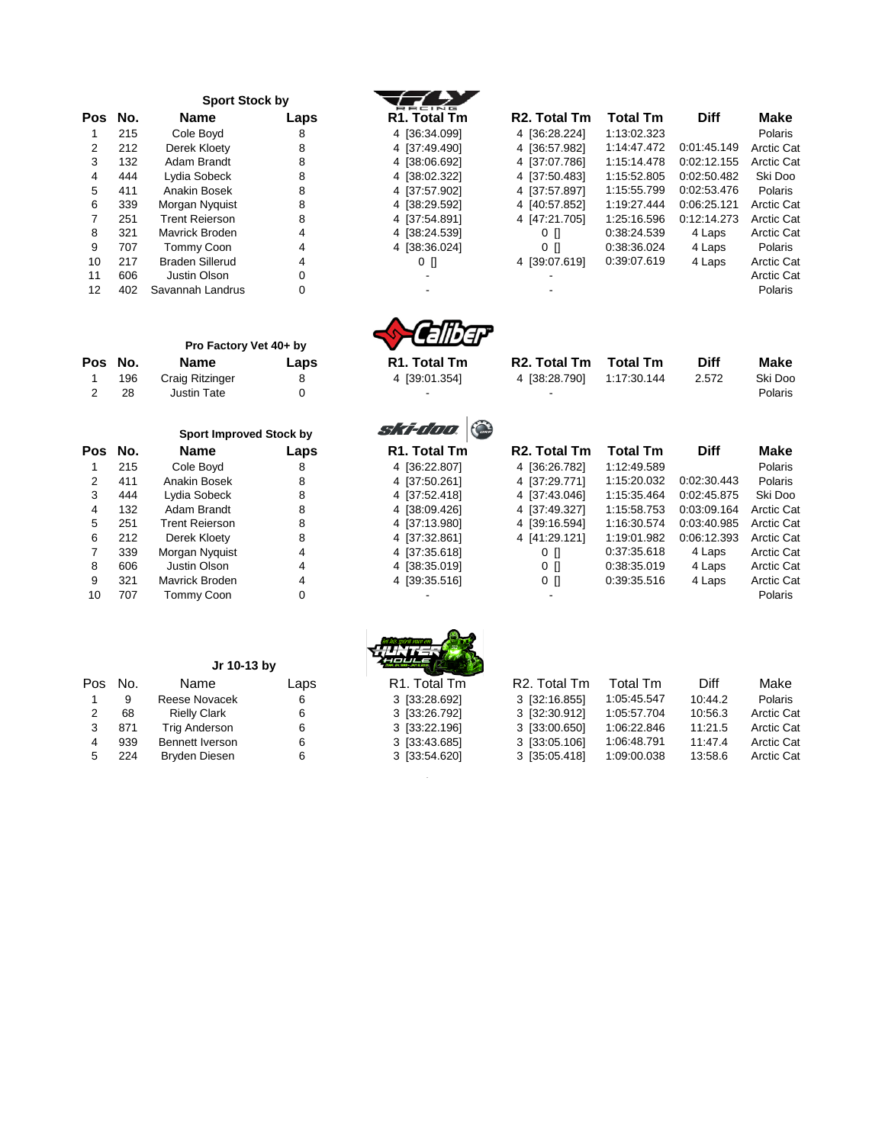|     |     | <b>Sport Stock by</b>  |      | RACING                    |                           |                 |             |             |
|-----|-----|------------------------|------|---------------------------|---------------------------|-----------------|-------------|-------------|
| Pos | No. | <b>Name</b>            | Laps | R <sub>1</sub> . Total Tm | R <sub>2</sub> . Total Tm | <b>Total Tm</b> | <b>Diff</b> | <b>Make</b> |
|     | 215 | Cole Boyd              | 8    | 4 [36:34.099]             | 4 [36:28.224]             | 1:13:02.323     |             | Polaris     |
| 2   | 212 | Derek Kloety           | 8    | 4 [37:49.490]             | 4 (36:57.982)             | 1:14:47.472     | 0:01:45.149 | Arctic C    |
| 3   | 132 | Adam Brandt            | 8    | 4 [38:06.692]             | 4 [37:07.786]             | 1:15:14.478     | 0:02:12.155 | Arctic C    |
| 4   | 444 | Lydia Sobeck           | 8    | 4 [38:02.322]             | 4 137:50.4831             | 1:15:52.805     | 0:02:50.482 | Ski Doo     |
| 5   | 411 | Anakin Bosek           | 8    | 4 [37:57.902]             | 4 [37:57.897]             | 1:15:55.799     | 0:02:53.476 | Polaris     |
| 6   | 339 | Morgan Nyguist         | 8    | 4 [38:29.592]             | 4 [40:57.852]             | 1:19:27.444     | 0:06:25.121 | Arctic C    |
|     | 251 | <b>Trent Reierson</b>  | 8    | 4 [37:54.891]             | 4 [47:21.705]             | 1:25:16.596     | 0:12:14.273 | Arctic C    |
| 8   | 321 | Mavrick Broden         | 4    | 4 [38:24.539]             | 0 <sub>1</sub>            | 0:38:24.539     | 4 Laps      | Arctic C    |
| 9   | 707 | Tommy Coon             | 4    | 4 [38:36.024]             | $0$ $\Box$                | 0:38:36.024     | 4 Laps      | Polaris     |
| 10  | 217 | <b>Braden Sillerud</b> | 4    | $0$ []                    | 4 [39:07.619]             | 0:39:07.619     | 4 Laps      | Arctic C    |
| 11  | 606 | Justin Olson           | 0    |                           |                           |                 |             | Arctic C    |
| 12  | 402 | Savannah Landrus       |      |                           |                           |                 |             | Polaris     |

|   | R1. Total Tm |
|---|--------------|
| 4 | [36:34.099]  |
| 4 | [37:49.490]  |
| 4 | [38:06.692]  |
| 4 | [38:02.322]  |
| 4 | [37:57.902]  |
| 4 | [38:29.592]  |
| 4 | [37:54.891]  |
| 4 | [38:24.539]  |
| 4 | [38:36.024]  |
|   | 0<br>П       |

|     |          |                       |      | RACING                    |                           |                 |             |                   |
|-----|----------|-----------------------|------|---------------------------|---------------------------|-----------------|-------------|-------------------|
| Pos | No.      | <b>Name</b>           | Laps | R <sub>1</sub> . Total Tm | R <sub>2</sub> . Total Tm | <b>Total Tm</b> | <b>Diff</b> | Make              |
|     | 215      | Cole Boyd             | 8    | 4 [36:34.099]             | 4 [36:28.224]             | 1:13:02.323     |             | Polaris           |
|     | 212      | Derek Kloety          | 8    | 4 [37:49.490]             | 4 [36:57.982]             | 1:14:47.472     | 0:01:45.149 | <b>Arctic Cat</b> |
|     | 132      | Adam Brandt           | 8    | 4 (38:06.692)             | 4 [37:07.786]             | 1:15:14.478     | 0:02:12.155 | <b>Arctic Cat</b> |
| 4   | 444      | Lydia Sobeck          | 8    | 4 [38:02.322]             | 4 [37:50.483]             | 1:15:52.805     | 0:02:50.482 | Ski Doo           |
| 5.  | 411      | Anakin Bosek          | 8    | 4 [37:57.902]             | 4 [37:57.897]             | 1:15:55.799     | 0:02:53.476 | Polaris           |
| 6   | 339      | Morgan Nyguist        | 8    | 4 [38:29.592]             | 4 (40:57.852)             | 1:19:27.444     | 0:06:25.121 | <b>Arctic Cat</b> |
|     | 251      | <b>Trent Reierson</b> | 8    | 4 [37:54.891]             | 4 [47:21.705]             | 1:25:16.596     | 0:12:14.273 | <b>Arctic Cat</b> |
| 8   | 321      | Mavrick Broden        | 4    | 4 (38:24.539)             | 0 N                       | 0:38:24.539     | 4 Laps      | <b>Arctic Cat</b> |
| 9   | 707      | Tommy Coon            | 4    | 4 [38:36.024]             | 0 N                       | 0:38:36.024     | 4 Laps      | Polaris           |
| 10  | 217      | Braden Sillerud       | 4    | $0$ []                    | 4 [39:07.619]             | 0:39:07.619     | 4 Laps      | <b>Arctic Cat</b> |
| 11  | 606      | Justin Olson          |      |                           |                           |                 |             | <b>Arctic Cat</b> |
| 12  | $\Delta$ | Savannah Landrue      |      |                           |                           |                 |             | <b>Dolorie</b>    |



| R2. Total Tm  | Total Tm    | <b>Diff</b> | Make    |
|---------------|-------------|-------------|---------|
| 4 (38:28.790) | 1:17:30.144 | 2.572       | Ski Doo |
|               |             |             | - -     |

|         | Pro Factory Vet 40+ by |      | <b>WEBSTERN</b>           |          |                                                |         |
|---------|------------------------|------|---------------------------|----------|------------------------------------------------|---------|
| Pos No. | Name                   | Laps | R <sub>1</sub> . Total Tm | Total Tm | <b>Diff</b>                                    | Make    |
| 196     | Craig Ritzinger        |      | 4 [39:01.354]             |          | 2.572                                          | Ski Doo |
| 28      | Justin Tate_           |      |                           |          |                                                | Polaris |
|         |                        |      |                           |          | <b>R2. Total Tm</b><br>4 58:28.790 1:17:30.144 |         |

|     |     | <b>Sport Improved Stock by</b> |     |  |  |
|-----|-----|--------------------------------|-----|--|--|
| Pos | No. | <b>Name</b>                    | Lap |  |  |
| 1   | 215 | Cole Boyd                      | 8   |  |  |
| 2   | 411 | Anakin Bosek                   | 8   |  |  |
| 3   | 444 | Lydia Sobeck                   | 8   |  |  |
| 4   | 132 | Adam Brandt                    | 8   |  |  |
| 5   | 251 | <b>Trent Rejerson</b>          | 8   |  |  |
| 6   | 212 | Derek Kloety                   | 8   |  |  |
| 7   | 339 | Morgan Nyquist                 | 4   |  |  |
| 8   | 606 | Justin Olson                   | 4   |  |  |
| 9   | 321 | Mavrick Broden                 | 4   |  |  |
| 10  | 707 | <b>Tommy Coon</b>              | ი   |  |  |

#### **Jr 10-13 by**

| Pos | No. | Name                   | Laps |
|-----|-----|------------------------|------|
| 1   | 9   | Reese Novacek          | 6    |
| 2   | 68  | <b>Rielly Clark</b>    | 6    |
| 3   | 871 | <b>Trig Anderson</b>   | 6    |
| 4   | 939 | <b>Bennett Iverson</b> | 6    |
| 5   | 224 | <b>Bryden Diesen</b>   | ี    |

|     |     | <b>Sport Improved Stock by</b> |             | ski-doo                   |                           |                 |             |                   |
|-----|-----|--------------------------------|-------------|---------------------------|---------------------------|-----------------|-------------|-------------------|
| Pos | No. | <b>Name</b>                    | Laps        | R <sub>1</sub> . Total Tm | R <sub>2</sub> . Total Tm | <b>Total Tm</b> | <b>Diff</b> | Make              |
|     | 215 | Cole Boyd                      | 8           | 4 [36:22.807]             | 4 [36:26.782]             | 1:12:49.589     |             | Polaris           |
|     | 411 | Anakin Bosek                   | 8           | 4 [37:50.261]             | 4 [37:29.771]             | 1:15:20.032     | 0:02:30.443 | Polaris           |
| 3   | 444 | Lydia Sobeck                   | 8           | 4 [37:52.418]             | 4 [37:43.046]             | 1:15:35.464     | 0:02:45.875 | Ski Doo           |
| 4   | 132 | Adam Brandt                    | 8           | 4 [38:09.426]             | 4 [37:49.327]             | 1:15:58.753     | 0:03:09.164 | <b>Arctic Cat</b> |
| 5   | 251 | <b>Trent Reierson</b>          | 8           | 4 [37:13.980]             | 4 [39:16.594]             | 1:16:30.574     | 0:03:40.985 | <b>Arctic Cat</b> |
| 6   | 212 | Derek Kloety                   | 8           | 4 [37:32.861]             | 4 [41:29.121]             | 1:19:01.982     | 0:06:12.393 | <b>Arctic Cat</b> |
|     | 339 | Morgan Nyguist                 | 4           | 4 [37:35.618]             | $0$ []                    | 0:37:35.618     | 4 Laps      | <b>Arctic Cat</b> |
| 8   | 606 | Justin Olson                   | 4           | 4 (38:35.019)             | o n                       | 0:38:35.019     | 4 Laps      | <b>Arctic Cat</b> |
| 9   | 321 | Mavrick Broden                 | 4           | 4 [39:35.516]             | 0 N                       | 0:39:35.516     | 4 Laps      | <b>Arctic Cat</b> |
| 10  | 707 | Tommy Coon                     | $\mathbf 0$ |                           |                           |                 |             | Polaris           |
|     |     | Jr 10-13 by                    |             |                           |                           |                 |             |                   |
| Pos | No. | Name                           | Laps        | R <sub>1</sub> . Total Tm | R <sub>2</sub> . Total Tm | Total Tm        | Diff        | Make              |

| 沿点形式         |  |
|--------------|--|
| R1. Total Tm |  |

 $\equiv$ 

| R1. Total Tm  | R <sub>2</sub> . Total Tm | Total Tm    | Diff    | Make              |
|---------------|---------------------------|-------------|---------|-------------------|
| 3 [33:28.692] | 3 [32:16.855]             | 1:05:45.547 | 10:44.2 | Polaris           |
| 3 [33:26.792] | 3 [32:30.912]             | 1:05:57.704 | 10:56.3 | Arctic Cat        |
| 3 [33:22.196] | 3 [33:00.650]             | 1:06:22.846 | 11:21.5 | <b>Arctic Cat</b> |
| 3 [33:43.685] | 3 [33:05.106]             | 1:06:48.791 | 11:47.4 | <b>Arctic Cat</b> |
| 3 [33:54.620] | 3 [35:05.418]             | 1:09:00.038 | 13:58.6 | Arctic Cat        |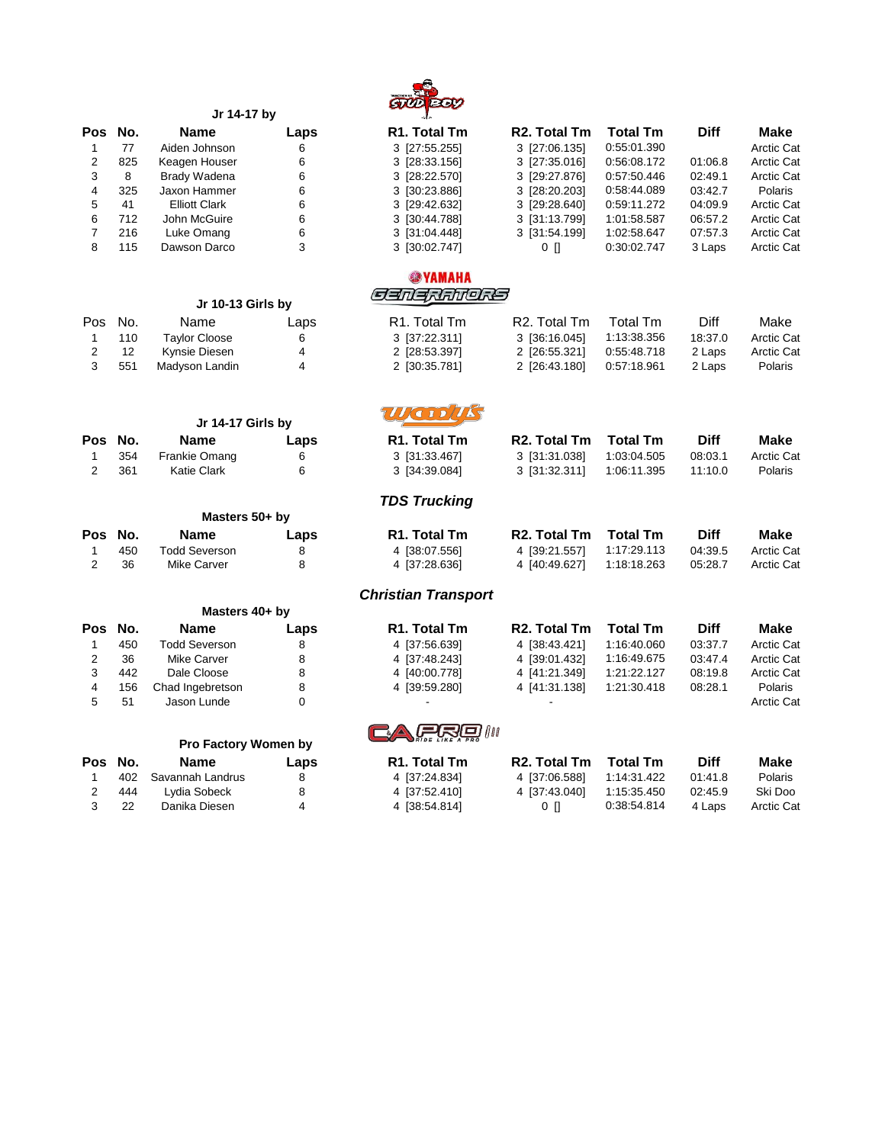

|     | Jr 14-17 by          | صعا  |               |
|-----|----------------------|------|---------------|
| No. | <b>Name</b>          | Laps | <b>R1. To</b> |
| 77  | Aiden Johnson        | 6    | 3 [27:5]      |
| 825 | Keagen Houser        | 6    | 3 [28:3]      |
| 8   | Brady Wadena         | 6    | $3$ [28:2     |
| 325 | Jaxon Hammer         | 6    | 3 [30:2]      |
| 41  | <b>Elliott Clark</b> | 6    | 3 [29:4       |
| 712 | John McGuire         | 6    | 3 [30:4]      |
| 216 | Luke Omang           | 6    | 3 [31:0]      |
| 115 | Dawson Darco         | 3    | $3$ [30:0     |
|     |                      |      |               |

|      |     | Jr 10-13 Girls by    |      |  |  |
|------|-----|----------------------|------|--|--|
| Pos. | No. | Name                 | Laps |  |  |
|      | 110 | <b>Taylor Cloose</b> | 6    |  |  |
| 2    | 12  | <b>Kynsie Diesen</b> | 4    |  |  |
| 3    | 551 | Madyson Landin       | 4    |  |  |

|         |     | Jr 14-17 Girls by    |      |  |  |
|---------|-----|----------------------|------|--|--|
| Pos No. |     | <b>Name</b>          | Laps |  |  |
| 1.      | 354 | <b>Frankie Omang</b> | 6    |  |  |
| 2       | 361 | <b>Katie Clark</b>   | 6    |  |  |

|         |     | Masters 50+ by       |      |  |  |
|---------|-----|----------------------|------|--|--|
| Pos No. |     | <b>Name</b>          | Laps |  |  |
|         | 450 | <b>Todd Severson</b> | 8    |  |  |
| 2       | 36  | Mike Carver          | 8    |  |  |

| Masters 40+ by |  |  |
|----------------|--|--|
|                |  |  |

| Pos No. | <b>Name</b>      | Laps | R <sub>1</sub> . Total Tm | R <sub>2</sub> . Total Tm | <b>Total Tm</b> | <b>Diff</b> | Make              |
|---------|------------------|------|---------------------------|---------------------------|-----------------|-------------|-------------------|
| 450     | Todd Severson    |      | 4 [37:56.639]             | 4 (38:43.421)             | 1:16:40.060     | 03:37.7     | <b>Arctic Cat</b> |
| 36      | Mike Carver      |      | 4 137:48.2431             | 4 (39:01.432)             | 1:16:49.675     | 03:47.4     | <b>Arctic Cat</b> |
| 442     | Dale Cloose      |      | 4 [40:00.778]             | 4 (41:21.349)             | 1:21:22.127     | 08:19.8     | <b>Arctic Cat</b> |
| 156     | Chad Ingebretson |      | 4 [39:59.280]             | 4 141:31.1381             | 1:21:30.418     | 08:28.1     | Polaris           |
| 51      | Jason Lunde      |      |                           |                           |                 |             | <b>Arctic Cat</b> |

|  | Pro Factory Women by |  |
|--|----------------------|--|
|  |                      |  |

|   | Pos No. | <b>Name</b>          | Laps |
|---|---------|----------------------|------|
|   |         | 402 Savannah Landrus | 8    |
| 2 | 444     | Lydia Sobeck         | 8    |
| 3 | 22      | Danika Diesen        | 4    |

| Pos No. |     | <b>Name</b>          | Laps | R <sub>1</sub> . Total Tm | R <sub>2</sub> . Total Tm | <b>Total Tm</b> | <b>Diff</b> | Make       |
|---------|-----|----------------------|------|---------------------------|---------------------------|-----------------|-------------|------------|
|         | 77  | Aiden Johnson        | 6    | 3 [27:55.255]             | 3 [27:06.135]             | 0:55:01.390     |             | Arctic Cat |
|         | 825 | Keagen Houser        | 6    | 3 [28:33.156]             | 3 [27:35.016]             | 0:56:08.172     | 01:06.8     | Arctic Cat |
|         | 8   | Brady Wadena         | 6    | 3 [28:22.570]             | 3 [29:27.876]             | 0:57:50.446     | 02:49.1     | Arctic Cat |
| 4       | 325 | Jaxon Hammer         | 6    | 3 [30:23.886]             | 3 [28:20.203]             | 0:58:44.089     | 03:42.7     | Polaris    |
| 5.      | 41  | <b>Elliott Clark</b> | 6    | 3 [29:42.632]             | 3 [29:28.640]             | 0:59:11.272     | 04:09.9     | Arctic Cat |
| 6       | 712 | John McGuire         | 6    | 3 [30:44.788]             | 3 [31:13.799]             | 1:01:58.587     | 06:57.2     | Arctic Cat |
|         | 216 | Luke Omang           | 6    | 3 [31:04.448]             | 3 [31:54.199]             | 1:02:58.647     | 07:57.3     | Arctic Cat |
|         | 115 | Dawson Darco         | 3    | 3 [30:02.747]             | $0$ $\Box$                | 0:30:02.747     | 3 Laps      | Arctic Cat |

#### **@YAMAHA CENERANORS**

|         | Jr 10-13 Girls by    |      | جد مدد مدمد محدد          |                           |             |         |                   |
|---------|----------------------|------|---------------------------|---------------------------|-------------|---------|-------------------|
| Pos No. | Name                 | Laps | R <sub>1</sub> . Total Tm | R <sub>2</sub> . Total Tm | Total Tm    | Diff    | Make              |
| 110     | <b>Tavlor Cloose</b> | 6    | 3 [37:22.311]             | 3 136:16.0451             | 1:13:38.356 | 18:37.0 | <b>Arctic Cat</b> |
| -12     | Kynsie Diesen        | 4    | 2 [28:53.397]             | 2 [26:55.321]             | 0:55:48.718 | 2 Laps  | <b>Arctic Cat</b> |
| 551     | Madyson Landin       |      | 2 [30:35.781]             | 2 [26:43.180]             | 0:57:18.961 | 2 Laps  | Polaris           |

## WODAS

| Pos No. |      | <b>Name</b>   | Laps | R <sub>1</sub> . Total Tm | R <sub>2</sub> . Total Tm | <b>Total Tm</b> | <b>Diff</b> | Make              |
|---------|------|---------------|------|---------------------------|---------------------------|-----------------|-------------|-------------------|
|         | 354  | Frankie Omang |      | 3 [31:33.467]             | 3 131:31.0381             | 1:03:04.505     | 08:03.1     | <b>Arctic Cat</b> |
|         | -361 | Katie Clark   |      | 3 [34:39.084]             |                           | 1:06:11.395     | 11:10.0     | <b>Polaris</b>    |

### *TDS Trucking*

|         | .             |      |                           |                           |                 |             |                   |
|---------|---------------|------|---------------------------|---------------------------|-----------------|-------------|-------------------|
| Pos No. | <b>Name</b>   | Laps | R <sub>1</sub> . Total Tm | R2. Total Tm              | <b>Total Tm</b> | <b>Diff</b> | <b>Make</b>       |
| 450     | Todd Severson |      | 4 [38:07.556]             | 4 139:21.5571 1:17:29.113 |                 | 04:39.5     | <b>Arctic Cat</b> |
| -36     | Mike Carver   |      | 4 [37:28.636]             | 4 (40:49.627) 1:18:18.263 |                 | 05:28.7     | <b>Arctic Cat</b> |

#### *Christian Transport*

| Pos No. |     | <b>Name</b>      | Laps | R <sub>1</sub> . Total Tm | R <sub>2</sub> . Total Tm | <b>Total Tm</b> | <b>Diff</b> | Make           |
|---------|-----|------------------|------|---------------------------|---------------------------|-----------------|-------------|----------------|
|         | 450 | Todd Severson    |      | 4 [37:56.639]             | 4 (38:43.421)             | 1:16:40.060     | 03:37.7     | Arctic Cat     |
|         | 36  | Mike Carver      |      | 4 [37:48.243]             | 4 (39:01.432)             | 1:16:49.675     | 03:47.4     | Arctic Cat     |
|         | 442 | Dale Cloose      |      | 4 [40:00.778]             | 4 (41:21.349)             | 1:21:22.127     | 08:19.8     | Arctic Cat     |
|         | 156 | Chad Ingebretson |      | 4 [39:59.280]             | 4 (41:31.138)             | 1:21:30.418     | 08:28.1     | <b>Polaris</b> |
|         |     |                  |      |                           |                           |                 |             | .              |

# **CARRA**

| Pos No. |     | <b>Name</b>          | Laps | R <sub>1</sub> . Total Tm | R <sub>2</sub> . Total Tm | Total Tm    | <b>Diff</b> | Make       |
|---------|-----|----------------------|------|---------------------------|---------------------------|-------------|-------------|------------|
|         |     | 402 Savannah Landrus |      | 4 137:24.8341             | 4 57:06.5881 1:14:31.422  |             | 01:41.8     | Polaris    |
|         | 444 | Lvdia Sobeck         |      | 4 137:52.4101             | 4 137:43.0401             | 1:15:35.450 | 02:45.9     | Ski Doo    |
| 3 22    |     | Danika Diesen        |      | 4 58:54.8141              | 0 H                       | 0:38:54.814 | 4 Laps      | Arctic Cat |